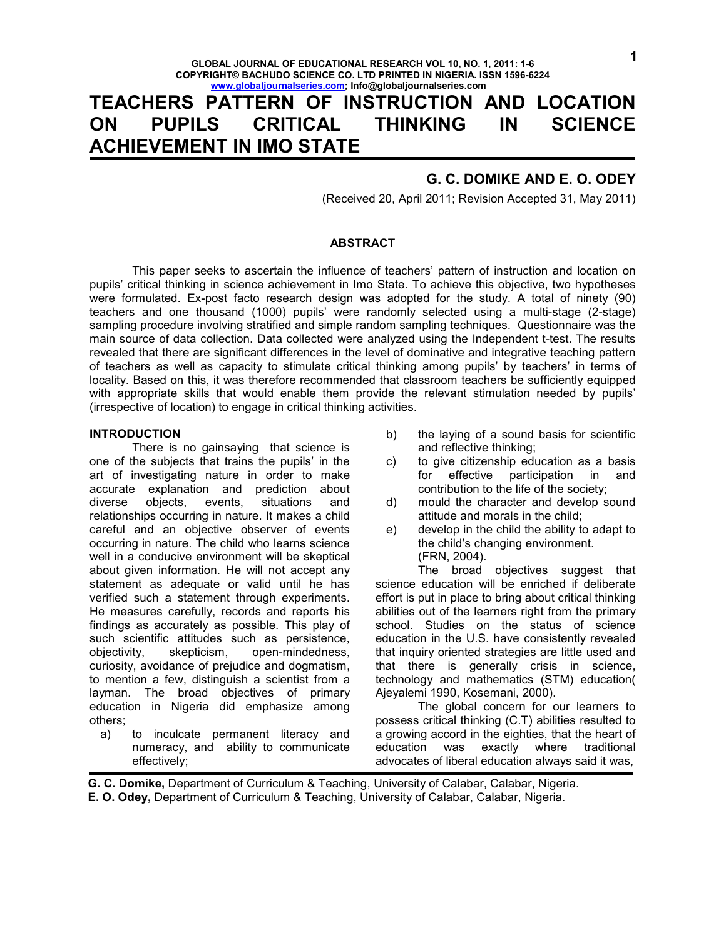# **TEACHERS PATTERN OF INSTRUCTION AND LOCATION ON PUPILS CRITICAL THINKING IN SCIENCE ACHIEVEMENT IN IMO STATE**

# **G. C. DOMIKE AND E. O. ODEY**

(Received 20, April 2011; Revision Accepted 31, May 2011)

#### **ABSTRACT**

 This paper seeks to ascertain the influence of teachers' pattern of instruction and location on pupils' critical thinking in science achievement in Imo State. To achieve this objective, two hypotheses were formulated. Ex-post facto research design was adopted for the study. A total of ninety (90) teachers and one thousand (1000) pupils' were randomly selected using a multi-stage (2-stage) sampling procedure involving stratified and simple random sampling techniques. Questionnaire was the main source of data collection. Data collected were analyzed using the Independent t-test. The results revealed that there are significant differences in the level of dominative and integrative teaching pattern of teachers as well as capacity to stimulate critical thinking among pupils' by teachers' in terms of locality. Based on this, it was therefore recommended that classroom teachers be sufficiently equipped with appropriate skills that would enable them provide the relevant stimulation needed by pupils' (irrespective of location) to engage in critical thinking activities.

#### **INTRODUCTION**

 There is no gainsaying that science is one of the subjects that trains the pupils' in the art of investigating nature in order to make accurate explanation and prediction about diverse objects, events, situations and relationships occurring in nature. It makes a child careful and an objective observer of events occurring in nature. The child who learns science well in a conducive environment will be skeptical about given information. He will not accept any statement as adequate or valid until he has verified such a statement through experiments. He measures carefully, records and reports his findings as accurately as possible. This play of such scientific attitudes such as persistence, objectivity, skepticism, open-mindedness, curiosity, avoidance of prejudice and dogmatism, to mention a few, distinguish a scientist from a layman. The broad objectives of primary education in Nigeria did emphasize among others;

a) to inculcate permanent literacy and numeracy, and ability to communicate effectively;

- b) the laying of a sound basis for scientific and reflective thinking;
- c) to give citizenship education as a basis<br>for effective participation in and for effective participation in and contribution to the life of the society;
- d) mould the character and develop sound attitude and morals in the child;
- e) develop in the child the ability to adapt to the child's changing environment. (FRN, 2004).

 The broad objectives suggest that science education will be enriched if deliberate effort is put in place to bring about critical thinking abilities out of the learners right from the primary school. Studies on the status of science education in the U.S. have consistently revealed that inquiry oriented strategies are little used and that there is generally crisis in science, technology and mathematics (STM) education( Ajeyalemi 1990, Kosemani, 2000).

 The global concern for our learners to possess critical thinking (C.T) abilities resulted to a growing accord in the eighties, that the heart of education was exactly where traditional advocates of liberal education always said it was,

**G. C. Domike,** Department of Curriculum & Teaching, University of Calabar, Calabar, Nigeria.

**E. O. Odey,** Department of Curriculum & Teaching, University of Calabar, Calabar, Nigeria.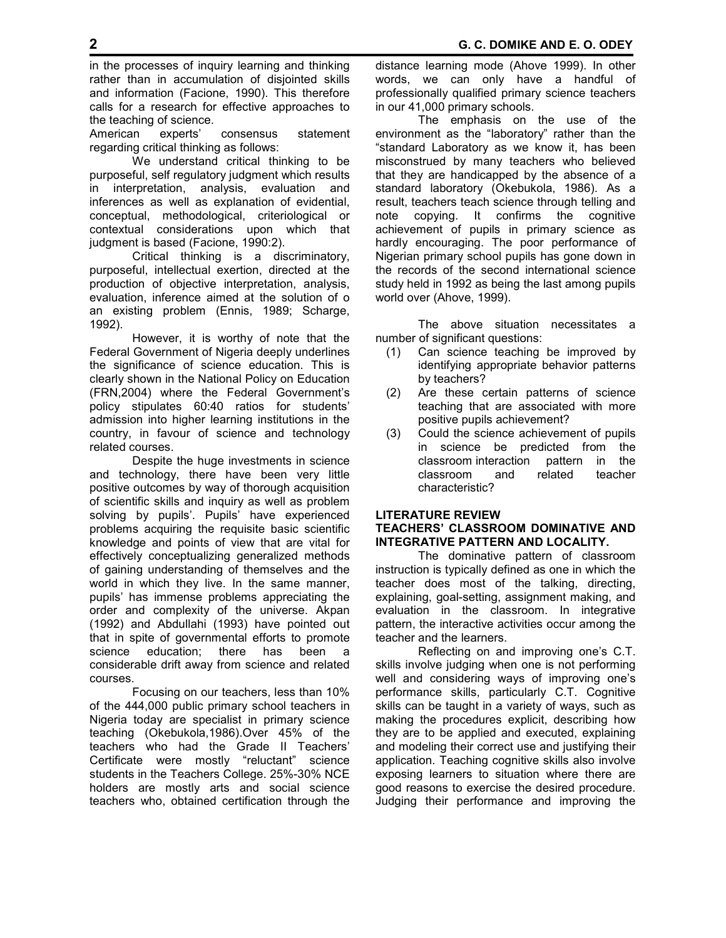in the processes of inquiry learning and thinking rather than in accumulation of disjointed skills and information (Facione, 1990). This therefore calls for a research for effective approaches to the teaching of science.

American experts' consensus statement regarding critical thinking as follows:

We understand critical thinking to be purposeful, self regulatory judgment which results in interpretation, analysis, evaluation and inferences as well as explanation of evidential, conceptual, methodological, criteriological or contextual considerations upon which that judgment is based (Facione, 1990:2).

Critical thinking is a discriminatory, purposeful, intellectual exertion, directed at the production of objective interpretation, analysis, evaluation, inference aimed at the solution of o an existing problem (Ennis, 1989; Scharge, 1992).

 However, it is worthy of note that the Federal Government of Nigeria deeply underlines the significance of science education. This is clearly shown in the National Policy on Education (FRN,2004) where the Federal Government's policy stipulates 60:40 ratios for students' admission into higher learning institutions in the country, in favour of science and technology related courses.

 Despite the huge investments in science and technology, there have been very little positive outcomes by way of thorough acquisition of scientific skills and inquiry as well as problem solving by pupils'. Pupils' have experienced problems acquiring the requisite basic scientific knowledge and points of view that are vital for effectively conceptualizing generalized methods of gaining understanding of themselves and the world in which they live. In the same manner, pupils' has immense problems appreciating the order and complexity of the universe. Akpan (1992) and Abdullahi (1993) have pointed out that in spite of governmental efforts to promote science education; there has been a considerable drift away from science and related courses.

 Focusing on our teachers, less than 10% of the 444,000 public primary school teachers in Nigeria today are specialist in primary science teaching (Okebukola,1986).Over 45% of the teachers who had the Grade II Teachers' Certificate were mostly "reluctant" science students in the Teachers College. 25%-30% NCE holders are mostly arts and social science teachers who, obtained certification through the distance learning mode (Ahove 1999). In other words, we can only have a handful of professionally qualified primary science teachers in our 41,000 primary schools.

 The emphasis on the use of the environment as the "laboratory" rather than the "standard Laboratory as we know it, has been misconstrued by many teachers who believed that they are handicapped by the absence of a standard laboratory (Okebukola, 1986). As a result, teachers teach science through telling and note copying. It confirms the cognitive achievement of pupils in primary science as hardly encouraging. The poor performance of Nigerian primary school pupils has gone down in the records of the second international science study held in 1992 as being the last among pupils world over (Ahove, 1999).

 The above situation necessitates a number of significant questions:

- (1) Can science teaching be improved by identifying appropriate behavior patterns by teachers?
- (2) Are these certain patterns of science teaching that are associated with more positive pupils achievement?
- (3) Could the science achievement of pupils in science be predicted from the classroom interaction pattern in the classroom and related teacher characteristic?

# **LITERATURE REVIEW TEACHERS' CLASSROOM DOMINATIVE AND INTEGRATIVE PATTERN AND LOCALITY.**

 The dominative pattern of classroom instruction is typically defined as one in which the teacher does most of the talking, directing, explaining, goal-setting, assignment making, and evaluation in the classroom. In integrative pattern, the interactive activities occur among the teacher and the learners.

 Reflecting on and improving one's C.T. skills involve judging when one is not performing well and considering ways of improving one's performance skills, particularly C.T. Cognitive skills can be taught in a variety of ways, such as making the procedures explicit, describing how they are to be applied and executed, explaining and modeling their correct use and justifying their application. Teaching cognitive skills also involve exposing learners to situation where there are good reasons to exercise the desired procedure. Judging their performance and improving the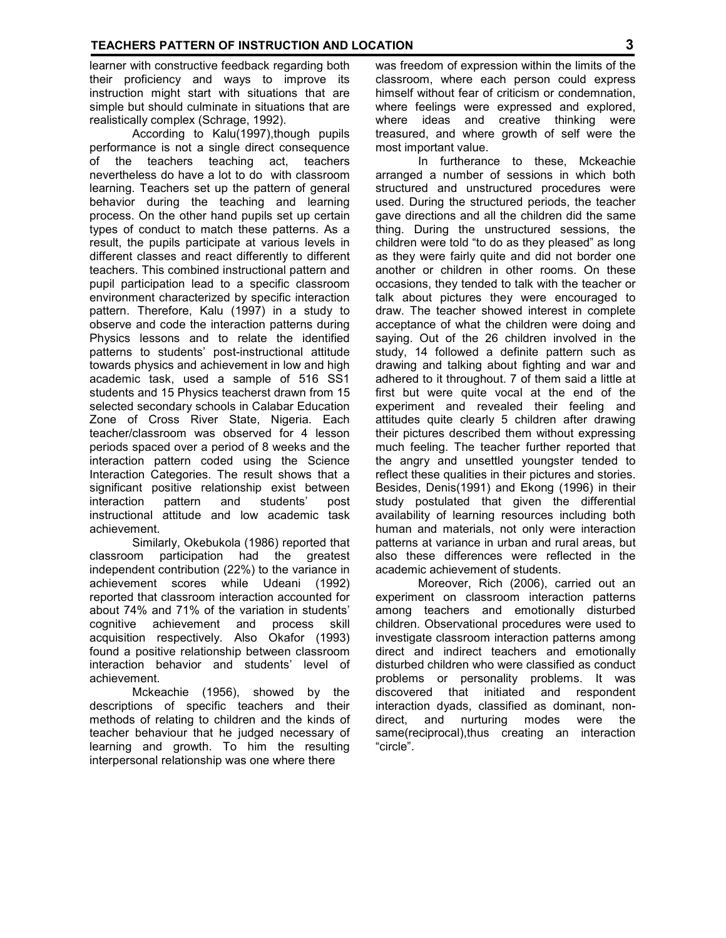learner with constructive feedback regarding both their proficiency and ways to improve its instruction might start with situations that are simple but should culminate in situations that are realistically complex (Schrage, 1992).

 According to Kalu(1997),though pupils performance is not a single direct consequence of the teachers teaching act, teachers nevertheless do have a lot to do with classroom learning. Teachers set up the pattern of general behavior during the teaching and learning process. On the other hand pupils set up certain types of conduct to match these patterns. As a result, the pupils participate at various levels in different classes and react differently to different teachers. This combined instructional pattern and pupil participation lead to a specific classroom environment characterized by specific interaction pattern. Therefore, Kalu (1997) in a study to observe and code the interaction patterns during Physics lessons and to relate the identified patterns to students' post-instructional attitude towards physics and achievement in low and high academic task, used a sample of 516 SS1 students and 15 Physics teacherst drawn from 15 selected secondary schools in Calabar Education Zone of Cross River State, Nigeria. Each teacher/classroom was observed for 4 lesson periods spaced over a period of 8 weeks and the interaction pattern coded using the Science Interaction Categories. The result shows that a significant positive relationship exist between<br>interaction pattern and students' post interaction pattern and students' post instructional attitude and low academic task achievement.

 Similarly, Okebukola (1986) reported that classroom participation had the greatest independent contribution (22%) to the variance in achievement scores while Udeani (1992) reported that classroom interaction accounted for about 74% and 71% of the variation in students' cognitive achievement and process skill acquisition respectively. Also Okafor (1993) found a positive relationship between classroom interaction behavior and students' level of achievement.

 Mckeachie (1956), showed by the descriptions of specific teachers and their methods of relating to children and the kinds of teacher behaviour that he judged necessary of learning and growth. To him the resulting interpersonal relationship was one where there

was freedom of expression within the limits of the classroom, where each person could express himself without fear of criticism or condemnation, where feelings were expressed and explored, where ideas and creative thinking were treasured, and where growth of self were the most important value.

 In furtherance to these, Mckeachie arranged a number of sessions in which both structured and unstructured procedures were used. During the structured periods, the teacher gave directions and all the children did the same thing. During the unstructured sessions, the children were told "to do as they pleased" as long as they were fairly quite and did not border one another or children in other rooms. On these occasions, they tended to talk with the teacher or talk about pictures they were encouraged to draw. The teacher showed interest in complete acceptance of what the children were doing and saying. Out of the 26 children involved in the study, 14 followed a definite pattern such as drawing and talking about fighting and war and adhered to it throughout. 7 of them said a little at first but were quite vocal at the end of the experiment and revealed their feeling and attitudes quite clearly 5 children after drawing their pictures described them without expressing much feeling. The teacher further reported that the angry and unsettled youngster tended to reflect these qualities in their pictures and stories. Besides, Denis(1991) and Ekong (1996) in their study postulated that given the differential availability of learning resources including both human and materials, not only were interaction patterns at variance in urban and rural areas, but also these differences were reflected in the academic achievement of students.

 Moreover, Rich (2006), carried out an experiment on classroom interaction patterns among teachers and emotionally disturbed children. Observational procedures were used to investigate classroom interaction patterns among direct and indirect teachers and emotionally disturbed children who were classified as conduct problems or personality problems. It was discovered that initiated and respondent interaction dyads, classified as dominant, nondirect, and nurturing modes were the same(reciprocal), thus creating an interaction "circle".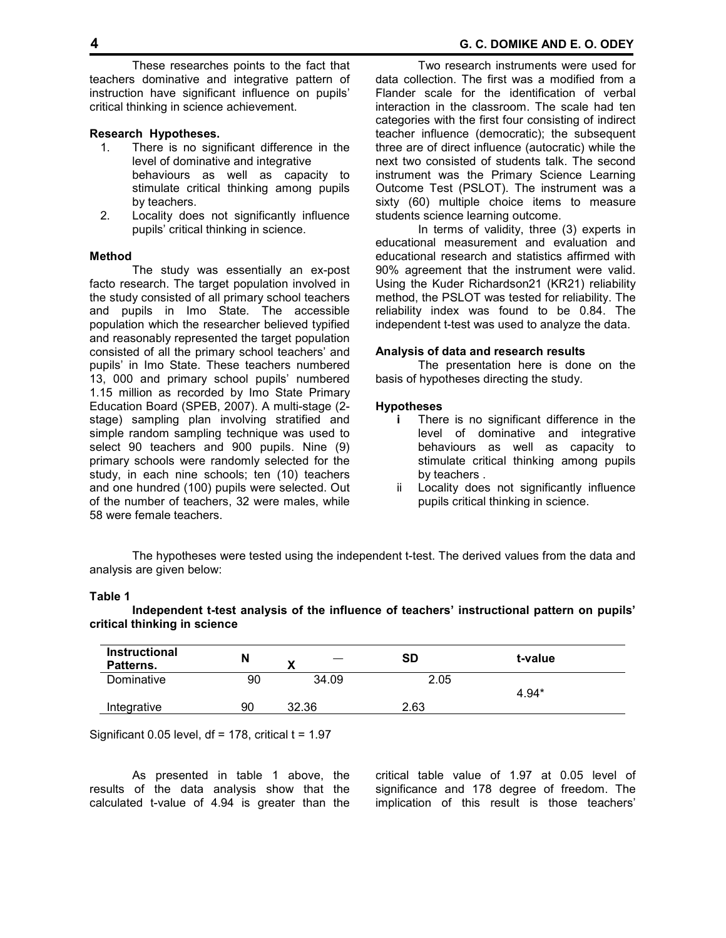#### **Research Hypotheses.**

- 1. There is no significant difference in the level of dominative and integrative behaviours as well as capacity to stimulate critical thinking among pupils by teachers.
- 2. Locality does not significantly influence pupils' critical thinking in science.

#### **Method**

 The study was essentially an ex-post facto research. The target population involved in the study consisted of all primary school teachers and pupils in Imo State. The accessible population which the researcher believed typified and reasonably represented the target population consisted of all the primary school teachers' and pupils' in Imo State. These teachers numbered 13, 000 and primary school pupils' numbered 1.15 million as recorded by Imo State Primary Education Board (SPEB, 2007). A multi-stage (2 stage) sampling plan involving stratified and simple random sampling technique was used to select 90 teachers and 900 pupils. Nine (9) primary schools were randomly selected for the study, in each nine schools; ten (10) teachers and one hundred (100) pupils were selected. Out of the number of teachers, 32 were males, while 58 were female teachers.

 Two research instruments were used for data collection. The first was a modified from a Flander scale for the identification of verbal interaction in the classroom. The scale had ten categories with the first four consisting of indirect teacher influence (democratic); the subsequent three are of direct influence (autocratic) while the next two consisted of students talk. The second instrument was the Primary Science Learning Outcome Test (PSLOT). The instrument was a sixty (60) multiple choice items to measure students science learning outcome.

 In terms of validity, three (3) experts in educational measurement and evaluation and educational research and statistics affirmed with 90% agreement that the instrument were valid. Using the Kuder Richardson21 (KR21) reliability method, the PSLOT was tested for reliability. The reliability index was found to be 0.84. The independent t-test was used to analyze the data.

#### **Analysis of data and research results**

 The presentation here is done on the basis of hypotheses directing the study.

#### **Hypotheses**

- **i** There is no significant difference in the level of dominative and integrative behaviours as well as capacity to stimulate critical thinking among pupils by teachers .
- ii Locality does not significantly influence pupils critical thinking in science.

 The hypotheses were tested using the independent t-test. The derived values from the data and analysis are given below:

#### **Table 1**

 **Independent t-test analysis of the influence of teachers' instructional pattern on pupils' critical thinking in science** 

| Instructional<br>Patterns. | N  | v     | SD   | t-value |
|----------------------------|----|-------|------|---------|
| Dominative                 | 90 | 34.09 | 2.05 |         |
|                            |    |       |      | $4.94*$ |
| Integrative                | 90 | 32.36 | 2.63 |         |
|                            |    |       |      |         |

Significant 0.05 level,  $df = 178$ , critical  $t = 1.97$ 

 As presented in table 1 above, the results of the data analysis show that the calculated t-value of 4.94 is greater than the critical table value of 1.97 at 0.05 level of significance and 178 degree of freedom. The implication of this result is those teachers'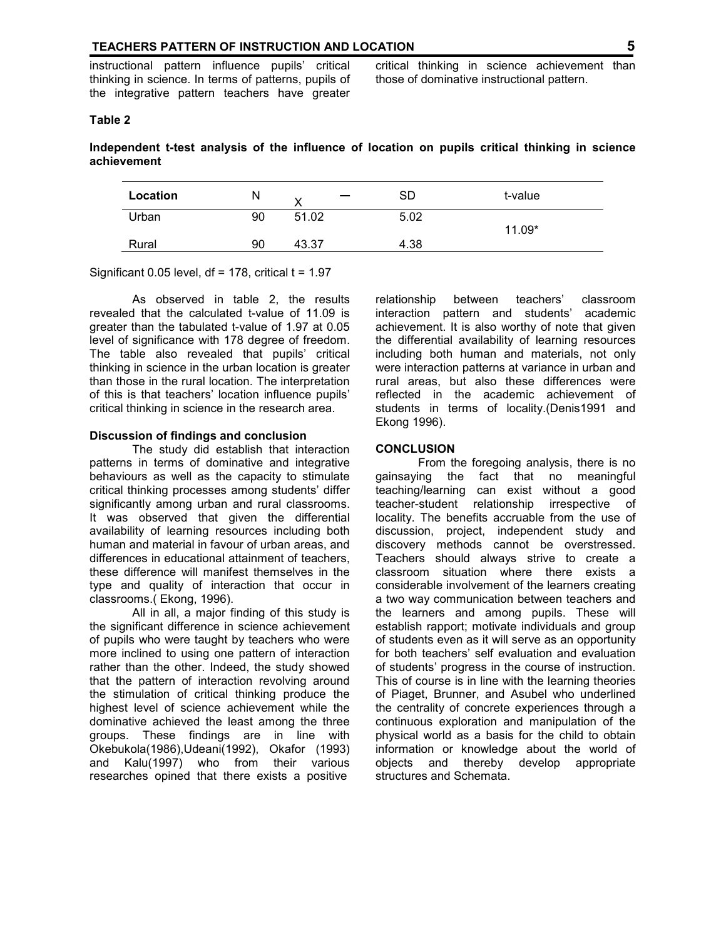instructional pattern influence pupils' critical thinking in science. In terms of patterns, pupils of the integrative pattern teachers have greater

critical thinking in science achievement than those of dominative instructional pattern.

# **Table 2**

**Independent t-test analysis of the influence of location on pupils critical thinking in science achievement** 

| Location | N  |       | SD   | t-value  |
|----------|----|-------|------|----------|
| Urban    | 90 | 51.02 | 5.02 |          |
|          |    |       |      | $11.09*$ |
| Rural    | 90 | 43.37 | 4.38 |          |
|          |    |       |      |          |

Significant 0.05 level,  $df = 178$ , critical  $t = 1.97$ 

 As observed in table 2, the results revealed that the calculated t-value of 11.09 is greater than the tabulated t-value of 1.97 at 0.05 level of significance with 178 degree of freedom. The table also revealed that pupils' critical thinking in science in the urban location is greater than those in the rural location. The interpretation of this is that teachers' location influence pupils' critical thinking in science in the research area.

#### **Discussion of findings and conclusion**

 The study did establish that interaction patterns in terms of dominative and integrative behaviours as well as the capacity to stimulate critical thinking processes among students' differ significantly among urban and rural classrooms. It was observed that given the differential availability of learning resources including both human and material in favour of urban areas, and differences in educational attainment of teachers, these difference will manifest themselves in the type and quality of interaction that occur in classrooms.( Ekong, 1996).

 All in all, a major finding of this study is the significant difference in science achievement of pupils who were taught by teachers who were more inclined to using one pattern of interaction rather than the other. Indeed, the study showed that the pattern of interaction revolving around the stimulation of critical thinking produce the highest level of science achievement while the dominative achieved the least among the three groups. These findings are in line with Okebukola(1986),Udeani(1992), Okafor (1993) and Kalu(1997) who from their various researches opined that there exists a positive

relationship between teachers' classroom interaction pattern and students' academic achievement. It is also worthy of note that given the differential availability of learning resources including both human and materials, not only were interaction patterns at variance in urban and rural areas, but also these differences were reflected in the academic achievement of students in terms of locality.(Denis1991 and Ekong 1996).

# **CONCLUSION**

 From the foregoing analysis, there is no gainsaying the fact that no meaningful teaching/learning can exist without a good teacher-student relationship irrespective of locality. The benefits accruable from the use of discussion, project, independent study and discovery methods cannot be overstressed. Teachers should always strive to create a classroom situation where there exists a considerable involvement of the learners creating a two way communication between teachers and the learners and among pupils. These will establish rapport; motivate individuals and group of students even as it will serve as an opportunity for both teachers' self evaluation and evaluation of students' progress in the course of instruction. This of course is in line with the learning theories of Piaget, Brunner, and Asubel who underlined the centrality of concrete experiences through a continuous exploration and manipulation of the physical world as a basis for the child to obtain information or knowledge about the world of objects and thereby develop appropriate structures and Schemata.